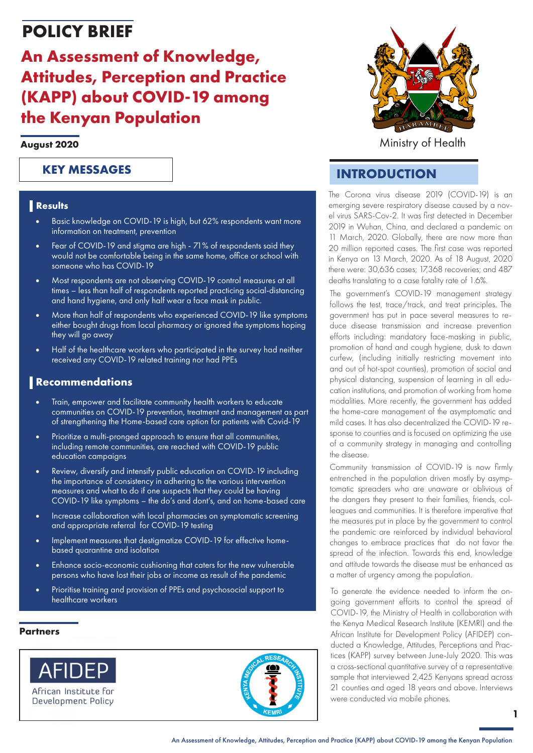# **POLICY BRIEF**

# **An Assessment of Knowledge, Attitudes, Perception and Practice (KAPP) about COVID-19 among the Kenyan Population**

### **August 2020**

### **KEY MESSAGES**

### **Results**

- Basic knowledge on COVID-19 is high, but 62% respondents want more information on treatment, prevention
- Fear of COVID-19 and stigma are high 71% of respondents said they would not be comfortable being in the same home, office or school with someone who has COVID-19
- Most respondents are not observing COVID-19 control measures at all times – less than half of respondents reported practicing social-distancing and hand hygiene, and only half wear a face mask in public.
- More than half of respondents who experienced COVID-19 like symptoms either bought drugs from local pharmacy or ignored the symptoms hoping they will go away
- Half of the healthcare workers who participated in the survey had neither received any COVID-19 related training nor had PPEs

### **Recommendations**

- Train, empower and facilitate community health workers to educate communities on COVID-19 prevention, treatment and management as part of strengthening the Home-based care option for patients with Covid-19
- Prioritize a multi-pronged approach to ensure that all communities, including remote communities, are reached with COVID-19 public education campaigns
- Review, diversify and intensify public education on COVID-19 including the importance of consistency in adhering to the various intervention measures and what to do if one suspects that they could be having COVID-19 like symptoms – the do's and dont's, and on home-based care
- Increase collaboration with local pharmacies on symptomatic screening and appropriate referral for COVID-19 testing
- Implement measures that destigmatize COVID-19 for effective homebased quarantine and isolation
- Enhance socio-economic cushioning that caters for the new vulnerable persons who have lost their jobs or income as result of the pandemic
- Prioritise training and provision of PPEs and psychosocial support to healthcare workers

#### **Partners**







Ministry of Health

## **INTRODUCTION**

The Corona virus disease 2019 (COVID-19) is an emerging severe respiratory disease caused by a novel virus SARS-Cov-2. It was first detected in December 2019 in Wuhan, China, and declared a pandemic on 11 March, 2020. Globally, there are now more than 20 million reported cases. The first case was reported in Kenya on 13 March, 2020. As of 18 August, 2020 there were: 30,636 cases; 17,368 recoveries; and 487 deaths translating to a case fatality rate of 1.6%.

The government's COVID-19 management strategy follows the test, trace/track, and treat principles. The government has put in pace several measures to reduce disease transmission and increase prevention efforts including: mandatory face-masking in public, promotion of hand and cough hygiene, dusk to dawn curfew, (including initially restricting movement into and out of hot-spot counties), promotion of social and physical distancing, suspension of learning in all education institutions, and promotion of working from home modalities. More recently, the government has added the home-care management of the asymptomatic and mild cases. It has also decentralized the COVID-19 response to counties and is focused on optimizing the use of a community strategy in managing and controlling the disease.

Community transmission of COVID-19 is now firmly entrenched in the population driven mostly by asymptomatic spreaders who are unaware or oblivious of the dangers they present to their families, friends, colleagues and communities. It is therefore imperative that the measures put in place by the government to control the pandemic are reinforced by individual behavioral changes to embrace practices that do not favor the spread of the infection. Towards this end, knowledge and attitude towards the disease must be enhanced as a matter of urgency among the population.

To generate the evidence needed to inform the ongoing government efforts to control the spread of COVID-19, the Ministry of Health in collaboration with the Kenya Medical Research Institute (KEMRI) and the African Institute for Development Policy (AFIDEP) conducted a Knowledge, Attitudes, Perceptions and Practices (KAPP) survey between June-July 2020. This was a cross-sectional quantitative survey of a representative sample that interviewed 2,425 Kenyans spread across 21 counties and aged 18 years and above. Interviews were conducted via mobile phones.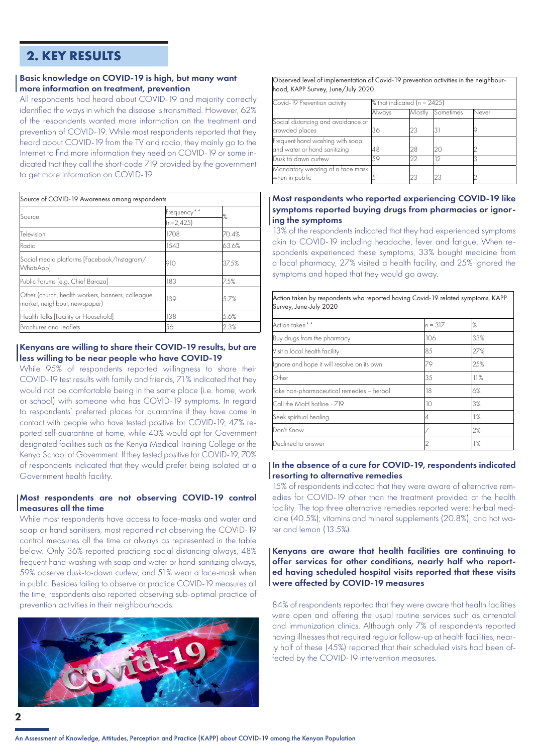### **2. KEY RESULTS**

### Basic knowledge on COVID-19 is high, but many want more information on treatment, prevention

All respondents had heard about COVID-19 and majority correctly identified the ways in which the disease is transmitted. However, 62% of the respondents wanted more information on the treatment and prevention of COVID-19. While most respondents reported that they heard about COVID-19 from the TV and radio, they mainly go to the Internet to find more information they need on COVID-19 or some indicated that they call the short-code 719 provided by the government to get more information on COVID-19.

| Source of COVID-19 Awareness among respondents                                      |                            |       |  |
|-------------------------------------------------------------------------------------|----------------------------|-------|--|
| lSource                                                                             | Frequency**<br>$(n=2,425)$ | %     |  |
| Television                                                                          | 1708                       | 70.4% |  |
| Radio                                                                               | 1543                       | 63.6% |  |
| Social media platforms [Facebook/Instagram/<br>WhatsApp]                            | 910                        | 37.5% |  |
| Public Forums [e.g. Chief Baraza]                                                   | 183                        | 7.5%  |  |
| Other (church, health workers, banners, colleague,<br>market, neighbour, newspaper) | 139                        | 5.7%  |  |
| Health Talks [Facility or Household]                                                | 138                        | 5.6%  |  |
| Brochures and Leaflets                                                              | 56                         | 2.3%  |  |

### Kenyans are willing to share their COVID-19 results, but are less willing to be near people who have COVID-19

While 95% of respondents reported willingness to share their COVID-19 test results with family and friends, 71% indicated that they would not be comfortable being in the same place (i.e. home, work or school) with someone who has COVID-19 symptoms. In regard to respondents' preferred places for quarantine if they have come in contact with people who have tested positive for COVID-19, 47% reported self-quarantine at home, while 40% would opt for Government designated facilities such as the Kenya Medical Training College or the Kenya School of Government. If they tested positive for COVID-19, 70% of respondents indicated that they would prefer being isolated at a Government health facility.

### Most respondents are not observing COVID-19 control measures all the time

While most respondents have access to face-masks and water and soap or hand sanitisers, most reported not observing the COVID-19 control measures all the time or always as represented in the table below. Only 36% reported practicing social distancing always, 48% frequent hand-washing with soap and water or hand-sanitizing always, 59% observe dusk-to-dawn curfew, and 51% wear a face-mask when in public. Besides failing to observe or practice COVID-19 measures all the time, respondents also reported observing sub-optimal practice of prevention activities in their neighbourhoods.



Observed level of implementation of Covid-19 prevention activities in the neighbourhood, KAPP Survey, June/July 2020

| Covid-19 Prevention activity       | $\%$ that indicated (n = 2425) |        |           |       |
|------------------------------------|--------------------------------|--------|-----------|-------|
|                                    | Always                         | Mostlv | Sometimes | Never |
| Social distancing and avoidance of |                                |        |           |       |
| crowded places                     | 36                             | 23     |           |       |
| Frequent hand washing with soap    |                                |        |           |       |
| and water or hand sanitizing       | 48                             | 28     |           |       |
| Dusk to dawn curfew                | 50                             | 22     |           |       |
| Mandatory wearing of a face mask   |                                |        |           |       |
| when in public                     |                                | 23     |           |       |

### Most respondents who reported experiencing COVID-19 like symptoms reported buying drugs from pharmacies or ignoring the symptoms

13% of the respondents indicated that they had experienced symptoms akin to COVID-19 including headache, fever and fatigue. When respondents experienced these symptoms, 33% bought medicine from a local pharmacy, 27% visited a health facility, and 25% ignored the symptoms and hoped that they would go away.

| Action taken by respondents who reported having Covid-19 related symptoms, KAPP<br>Survey, June-July 2020 |          |     |  |
|-----------------------------------------------------------------------------------------------------------|----------|-----|--|
| Action taken**                                                                                            | ln = 317 | %   |  |
| Buy drugs from the pharmacy                                                                               | 106      | 33% |  |
| Visit a local health facility                                                                             | 85       | 27% |  |
| Ignore and hope it will resolve on its own                                                                | 79       | 25% |  |
| Other                                                                                                     | 35       | 11% |  |
| Take non-pharmaceutical remedies – herbal                                                                 | 18       | 6%  |  |
| Call the MoH hotline - 719                                                                                | 10       | 3%  |  |
| Seek spiritual healing                                                                                    | 4        | 1%  |  |
| Don't Know                                                                                                |          | 2%  |  |
| Declined to answer                                                                                        |          | 1%  |  |

### In the absence of a cure for COVID-19, respondents indicated resorting to alternative remedies

15% of respondents indicated that they were aware of alternative remedies for COVID-19 other than the treatment provided at the health facility. The top three alternative remedies reported were: herbal medicine (40.5%); vitamins and mineral supplements (20.8%); and hot water and lemon (13.5%).

### Kenyans are aware that health facilities are continuing to offer services for other conditions, nearly half who reported having scheduled hospital visits reported that these visits were affected by COVID-19 measures

84% of respondents reported that they were aware that health facilities were open and offering the usual routine services such as antenatal and immunization clinics. Although only 7% of respondents reported having illnesses that required regular follow-up at health facilities, nearly half of these (45%) reported that their scheduled visits had been affected by the COVID-19 intervention measures.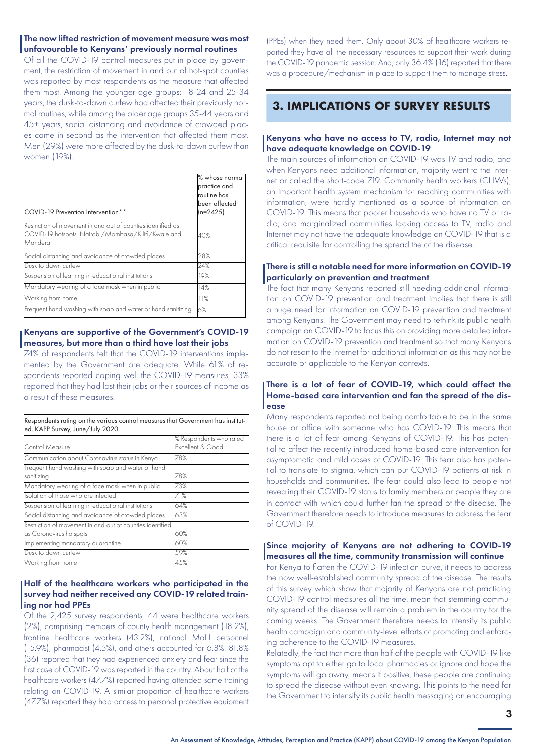### The now lifted restriction of movement measure was most unfavourable to Kenyans' previously normal routines

Of all the COVID-19 control measures put in place by government, the restriction of movement in and out of hot-spot counties was reported by most respondents as the measure that affected them most. Among the younger age groups: 18-24 and 25-34 years, the dusk-to-dawn curfew had affected their previously normal routines, while among the older age groups 35-44 years and 45+ years, social distancing and avoidance of crowded places came in second as the intervention that affected them most. Men (29%) were more affected by the dusk-to-dawn curfew than women (19%).

| COVID-19 Prevention Intervention**                                                                                             | % whose normal<br>practice and<br>routine has<br>been affected<br>$(n=2425)$ |
|--------------------------------------------------------------------------------------------------------------------------------|------------------------------------------------------------------------------|
| Restriction of movement in and out of counties identified as<br>COVID-19 hotspots. Nairobi/Mombasa/Kilifi/Kwale and<br>Mandera | 40%                                                                          |
| Social distancing and avoidance of crowded places                                                                              | 28%                                                                          |
| Dusk to dawn curfew                                                                                                            | 24%                                                                          |
| Suspension of learning in educational institutions                                                                             | 19%                                                                          |
| Mandatory wearing of a face mask when in public                                                                                | 14%                                                                          |
| Working from home                                                                                                              | 11%                                                                          |
| Frequent hand washing with soap and water or hand sanitizing                                                                   | 6%                                                                           |

### Kenyans are supportive of the Government's COVID-19 measures, but more than a third have lost their jobs

74% of respondents felt that the COVID-19 interventions implemented by the Government are adequate. While 61% of respondents reported coping well the COVID-19 measures, 33% reported that they had lost their jobs or their sources of income as a result of these measures.

| Respondents rating on the various control measures that Government has institut-<br>ed, KAPP Survey, June/July 2020 |                                             |  |
|---------------------------------------------------------------------------------------------------------------------|---------------------------------------------|--|
| Control Measure                                                                                                     | % Respondents who rated<br>Excellent & Good |  |
| Communication about Coronavirus status in Kenya                                                                     | 78%                                         |  |
| Frequent hand washing with soap and water or hand<br>sanitizina                                                     | 78%                                         |  |
| Mandatory wearing of a face mask when in public                                                                     | 73%                                         |  |
| Isolation of those who are infected                                                                                 | 71%                                         |  |
| Suspension of learning in educational institutions                                                                  | 64%                                         |  |
| Social distancing and avoidance of crowded places                                                                   | 63%                                         |  |
| Restriction of movement in and out of counties identified<br>as Coronavirus hotspots.                               | 60%                                         |  |
| Implementing mandatory quarantine                                                                                   | 60%                                         |  |
| Dusk to dawn curfew                                                                                                 | 59%                                         |  |
| Working from home                                                                                                   | 45%                                         |  |

### Half of the healthcare workers who participated in the survey had neither received any COVID-19 related training nor had PPEs

Of the 2,425 survey respondents, 44 were healthcare workers (2%), comprising members of county health management (18.2%), frontline healthcare workers (43.2%), national MoH personnel (15.9%), pharmacist (4.5%), and others accounted for 6.8%. 81.8% (36) reported that they had experienced anxiety and fear since the first case of COVID-19 was reported in the country. About half of the healthcare workers (47.7%) reported having attended some training relating on COVID-19. A similar proportion of healthcare workers (47.7%) reported they had access to personal protective equipment

(PPEs) when they need them. Only about 30% of healthcare workers reported they have all the necessary resources to support their work during the COVID-19 pandemic session. And, only 36.4% (16) reported that there was a procedure/mechanism in place to support them to manage stress.

### **3. IMPLICATIONS OF SURVEY RESULTS**

### Kenyans who have no access to TV, radio, Internet may not have adequate knowledge on COVID-19

The main sources of information on COVID-19 was TV and radio, and when Kenyans need additional information, majority went to the Internet or called the short-code 719. Community health workers (CHWs), an important health system mechanism for reaching communities with information, were hardly mentioned as a source of information on COVID-19. This means that poorer households who have no TV or radio, and marginalized communities lacking access to TV, radio and Internet may not have the adequate knowledge on COVID-19 that is a critical requisite for controlling the spread the of the disease.

### There is still a notable need for more information on COVID-19 particularly on prevention and treatment

The fact that many Kenyans reported still needing additional information on COVID-19 prevention and treatment implies that there is still a huge need for information on COVID-19 prevention and treatment among Kenyans. The Government may need to rethink its public health campaign on COVID-19 to focus this on providing more detailed information on COVID-19 prevention and treatment so that many Kenyans do not resort to the Internet for additional information as this may not be accurate or applicable to the Kenyan contexts.

### There is a lot of fear of COVID-19, which could affect the Home-based care intervention and fan the spread of the dis**l**ease

Many respondents reported not being comfortable to be in the same house or office with someone who has COVID-19. This means that there is a lot of fear among Kenyans of COVID-19. This has potential to affect the recently introduced home-based care intervention for asymptomatic and mild cases of COVID-19. This fear also has potential to translate to stigma, which can put COVID-19 patients at risk in households and communities. The fear could also lead to people not revealing their COVID-19 status to family members or people they are in contact with which could further fan the spread of the disease. The Government therefore needs to introduce measures to address the fear of COVID-19.

### Since majority of Kenyans are not adhering to COVID-19 measures all the time, community transmission will continue

For Kenya to flatten the COVID-19 infection curve, it needs to address the now well-established community spread of the disease. The results of this survey which show that majority of Kenyans are not practicing COVID-19 control measures all the time, mean that stemming community spread of the disease will remain a problem in the country for the coming weeks. The Government therefore needs to intensify its public health campaign and community-level efforts of promoting and enforcing adherence to the COVID-19 measures.

Relatedly, the fact that more than half of the people with COVID-19 like symptoms opt to either go to local pharmacies or ignore and hope the symptoms will go away, means if positive, these people are continuing to spread the disease without even knowing. This points to the need for the Government to intensify its public health messaging on encouraging